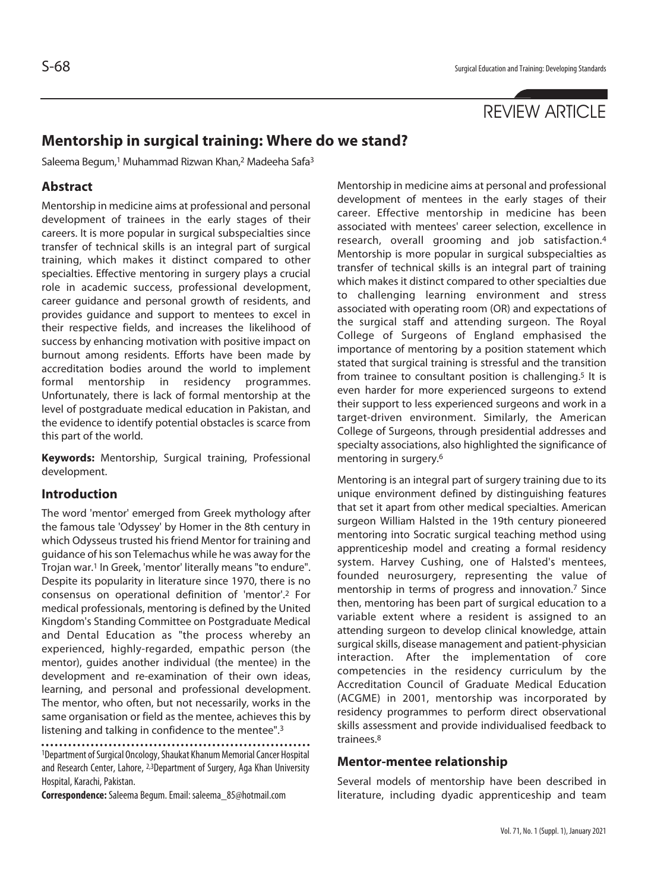# REVIEW ARTICLE

## **Mentorship in surgical training: Where do we stand?**

Saleema Begum,<sup>1</sup> Muhammad Rizwan Khan,<sup>2</sup> Madeeha Safa<sup>3</sup>

### **Abstract**

Mentorship in medicine aims at professional and personal development of trainees in the early stages of their careers. It is more popular in surgical subspecialties since transfer of technical skills is an integral part of surgical training, which makes it distinct compared to other specialties. Effective mentoring in surgery plays a crucial role in academic success, professional development, career guidance and personal growth of residents, and provides guidance and support to mentees to excel in their respective fields, and increases the likelihood of success by enhancing motivation with positive impact on burnout among residents. Efforts have been made by accreditation bodies around the world to implement formal mentorship in residency programmes. Unfortunately, there is lack of formal mentorship at the level of postgraduate medical education in Pakistan, and the evidence to identify potential obstacles is scarce from this part of the world.

**Keywords:** Mentorship, Surgical training, Professional development.

#### **Introduction**

The word 'mentor' emerged from Greek mythology after the famous tale 'Odyssey' by Homer in the 8th century in which Odysseus trusted his friend Mentor for training and guidance of his son Telemachus while he was away for the Trojan war.1 In Greek, 'mentor' literally means "to endure". Despite its popularity in literature since 1970, there is no consensus on operational definition of 'mentor'.2 For medical professionals, mentoring is defined by the United Kingdom's Standing Committee on Postgraduate Medical and Dental Education as "the process whereby an experienced, highly-regarded, empathic person (the mentor), guides another individual (the mentee) in the development and re-examination of their own ideas, learning, and personal and professional development. The mentor, who often, but not necessarily, works in the same organisation or field as the mentee, achieves this by listening and talking in confidence to the mentee".3

1Department of Surgical Oncology, Shaukat Khanum Memorial Cancer Hospital and Research Center, Lahore, 2,3Department of Surgery, Aga Khan University Hospital, Karachi, Pakistan.

**Correspondence:** Saleema Begum. Email: saleema\_85@hotmail.com

Mentorship in medicine aims at personal and professional development of mentees in the early stages of their career. Effective mentorship in medicine has been associated with mentees' career selection, excellence in research, overall grooming and job satisfaction.4 Mentorship is more popular in surgical subspecialties as transfer of technical skills is an integral part of training which makes it distinct compared to other specialties due to challenging learning environment and stress associated with operating room (OR) and expectations of the surgical staff and attending surgeon. The Royal College of Surgeons of England emphasised the importance of mentoring by a position statement which stated that surgical training is stressful and the transition from trainee to consultant position is challenging.<sup>5</sup> It is even harder for more experienced surgeons to extend their support to less experienced surgeons and work in a target-driven environment. Similarly, the American College of Surgeons, through presidential addresses and specialty associations, also highlighted the significance of mentoring in surgery.6

Mentoring is an integral part of surgery training due to its unique environment defined by distinguishing features that set it apart from other medical specialties. American surgeon William Halsted in the 19th century pioneered mentoring into Socratic surgical teaching method using apprenticeship model and creating a formal residency system. Harvey Cushing, one of Halsted's mentees, founded neurosurgery, representing the value of mentorship in terms of progress and innovation.7 Since then, mentoring has been part of surgical education to a variable extent where a resident is assigned to an attending surgeon to develop clinical knowledge, attain surgical skills, disease management and patient-physician interaction. After the implementation of core competencies in the residency curriculum by the Accreditation Council of Graduate Medical Education (ACGME) in 2001, mentorship was incorporated by residency programmes to perform direct observational skills assessment and provide individualised feedback to trainees.8

#### **Mentor-mentee relationship**

Several models of mentorship have been described in literature, including dyadic apprenticeship and team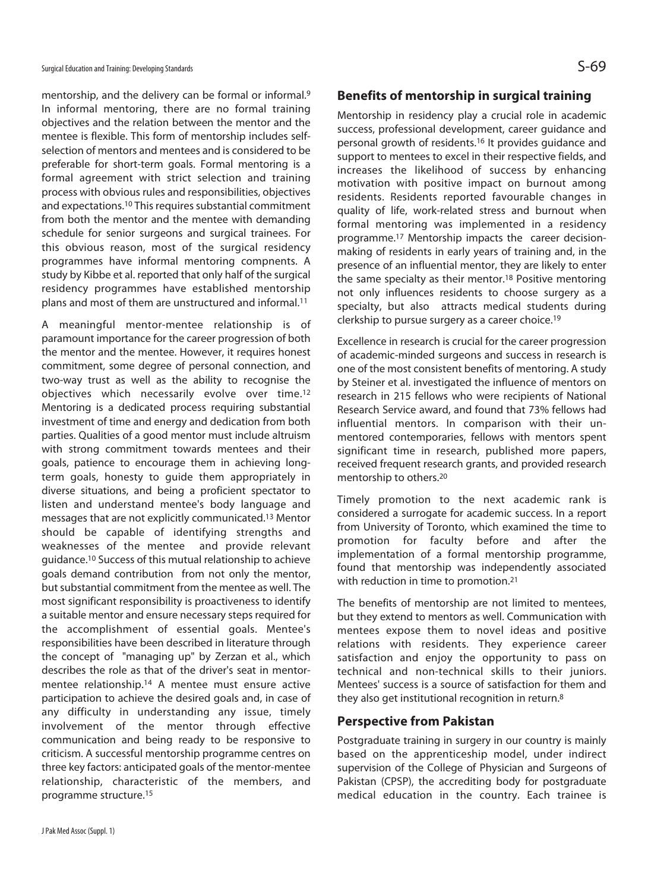mentorship, and the delivery can be formal or informal.9 In informal mentoring, there are no formal training objectives and the relation between the mentor and the mentee is flexible. This form of mentorship includes selfselection of mentors and mentees and is considered to be preferable for short-term goals. Formal mentoring is a formal agreement with strict selection and training process with obvious rules and responsibilities, objectives and expectations.10 This requires substantial commitment from both the mentor and the mentee with demanding schedule for senior surgeons and surgical trainees. For this obvious reason, most of the surgical residency programmes have informal mentoring compnents. A study by Kibbe et al. reported that only half of the surgical residency programmes have established mentorship plans and most of them are unstructured and informal.11

A meaningful mentor-mentee relationship is of paramount importance for the career progression of both the mentor and the mentee. However, it requires honest commitment, some degree of personal connection, and two-way trust as well as the ability to recognise the objectives which necessarily evolve over time.12 Mentoring is a dedicated process requiring substantial investment of time and energy and dedication from both parties. Qualities of a good mentor must include altruism with strong commitment towards mentees and their goals, patience to encourage them in achieving longterm goals, honesty to guide them appropriately in diverse situations, and being a proficient spectator to listen and understand mentee's body language and messages that are not explicitly communicated.13 Mentor should be capable of identifying strengths and weaknesses of the mentee and provide relevant guidance.10 Success of this mutual relationship to achieve goals demand contribution from not only the mentor, but substantial commitment from the mentee as well. The most significant responsibility is proactiveness to identify a suitable mentor and ensure necessary steps required for the accomplishment of essential goals. Mentee's responsibilities have been described in literature through the concept of "managing up" by Zerzan et al., which describes the role as that of the driver's seat in mentormentee relationship.14 A mentee must ensure active participation to achieve the desired goals and, in case of any difficulty in understanding any issue, timely involvement of the mentor through effective communication and being ready to be responsive to criticism. A successful mentorship programme centres on three key factors: anticipated goals of the mentor-mentee relationship, characteristic of the members, and programme structure.15

#### **Benefits of mentorship in surgical training**

Mentorship in residency play a crucial role in academic success, professional development, career guidance and personal growth of residents.16 It provides guidance and support to mentees to excel in their respective fields, and increases the likelihood of success by enhancing motivation with positive impact on burnout among residents. Residents reported favourable changes in quality of life, work-related stress and burnout when formal mentoring was implemented in a residency programme.17 Mentorship impacts the career decisionmaking of residents in early years of training and, in the presence of an influential mentor, they are likely to enter the same specialty as their mentor.18 Positive mentoring not only influences residents to choose surgery as a specialty, but also attracts medical students during clerkship to pursue surgery as a career choice.19

Excellence in research is crucial for the career progression of academic-minded surgeons and success in research is one of the most consistent benefits of mentoring. A study by Steiner et al. investigated the influence of mentors on research in 215 fellows who were recipients of National Research Service award, and found that 73% fellows had influential mentors. In comparison with their unmentored contemporaries, fellows with mentors spent significant time in research, published more papers, received frequent research grants, and provided research mentorship to others.20

Timely promotion to the next academic rank is considered a surrogate for academic success. In a report from University of Toronto, which examined the time to promotion for faculty before and after the implementation of a formal mentorship programme, found that mentorship was independently associated with reduction in time to promotion.21

The benefits of mentorship are not limited to mentees, but they extend to mentors as well. Communication with mentees expose them to novel ideas and positive relations with residents. They experience career satisfaction and enjoy the opportunity to pass on technical and non-technical skills to their juniors. Mentees' success is a source of satisfaction for them and they also get institutional recognition in return.8

#### **Perspective from Pakistan**

Postgraduate training in surgery in our country is mainly based on the apprenticeship model, under indirect supervision of the College of Physician and Surgeons of Pakistan (CPSP), the accrediting body for postgraduate medical education in the country. Each trainee is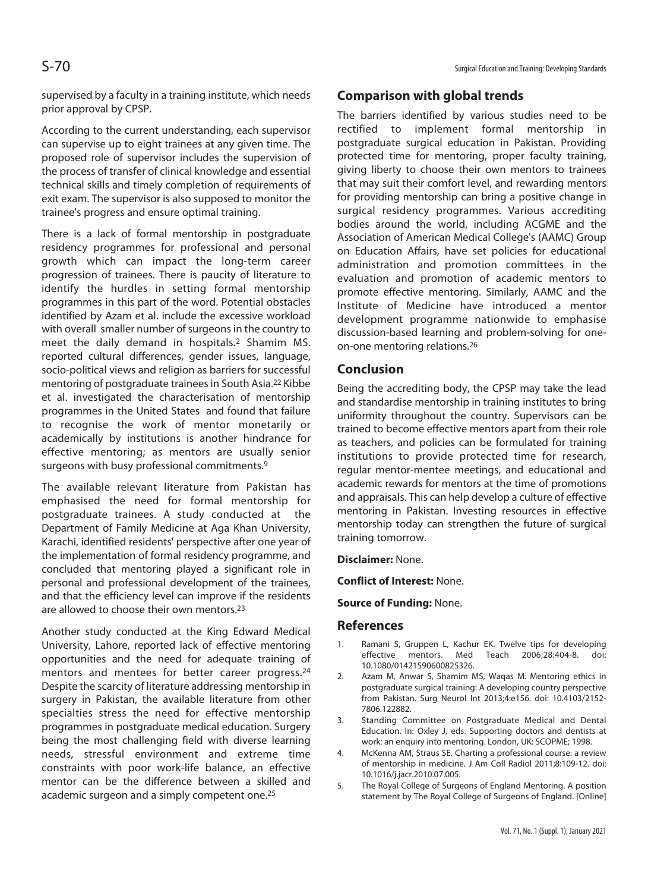supervised by a faculty in a training institute, which needs prior approval by CPSP.

According to the current understanding, each supervisor can supervise up to eight trainees at any given time. The proposed role of supervisor includes the supervision of the process of transfer of clinical knowledge and essential technical skills and timely completion of requirements of exit exam. The supervisor is also supposed to monitor the trainee's progress and ensure optimal training.

There is a lack of formal mentorship in postgraduate residency programmes for professional and personal growth which can impact the long-term career progression of trainees. There is paucity of literature to identify the hurdles in setting formal mentorship programmes in this part of the word. Potential obstacles identified by Azam et al. include the excessive workload with overall smaller number of surgeons in the country to meet the daily demand in hospitals.2 Shamim MS. reported cultural differences, gender issues, language, socio-political views and religion as barriers for successful mentoring of postgraduate trainees in South Asia.22 Kibbe et al. investigated the characterisation of mentorship programmes in the United States and found that failure to recognise the work of mentor monetarily or academically by institutions is another hindrance for effective mentoring; as mentors are usually senior surgeons with busy professional commitments.9

The available relevant literature from Pakistan has emphasised the need for formal mentorship for postgraduate trainees. A study conducted at the Department of Family Medicine at Aga Khan University, Karachi, identified residents' perspective after one year of the implementation of formal residency programme, and concluded that mentoring played a significant role in personal and professional development of the trainees, and that the efficiency level can improve if the residents are allowed to choose their own mentors.23

Another study conducted at the King Edward Medical University, Lahore, reported lack of effective mentoring opportunities and the need for adequate training of mentors and mentees for better career progress.24 Despite the scarcity of literature addressing mentorship in surgery in Pakistan, the available literature from other specialties stress the need for effective mentorship programmes in postgraduate medical education. Surgery being the most challenging field with diverse learning needs, stressful environment and extreme time constraints with poor work-life balance, an effective mentor can be the difference between a skilled and academic surgeon and a simply competent one.25

#### **Comparison with global trends**

The barriers identified by various studies need to be rectified to implement formal mentorship in postgraduate surgical education in Pakistan. Providing protected time for mentoring, proper faculty training, giving liberty to choose their own mentors to trainees that may suit their comfort level, and rewarding mentors for providing mentorship can bring a positive change in surgical residency programmes. Various accrediting bodies around the world, including ACGME and the Association of American Medical College's (AAMC) Group on Education Affairs, have set policies for educational administration and promotion committees in the evaluation and promotion of academic mentors to promote effective mentoring. Similarly, AAMC and the Institute of Medicine have introduced a mentor development programme nationwide to emphasise discussion-based learning and problem-solving for oneon-one mentoring relations.26

#### **Conclusion**

Being the accrediting body, the CPSP may take the lead and standardise mentorship in training institutes to bring uniformity throughout the country. Supervisors can be trained to become effective mentors apart from their role as teachers, and policies can be formulated for training institutions to provide protected time for research, regular mentor-mentee meetings, and educational and academic rewards for mentors at the time of promotions and appraisals. This can help develop a culture of effective mentoring in Pakistan. Investing resources in effective mentorship today can strengthen the future of surgical training tomorrow.

#### **Disclaimer:** None.

#### **Conflict of Interest:** None.

**Source of Funding:** None.

#### **References**

- 1. Ramani S, Gruppen L, Kachur EK. Twelve tips for developing effective mentors. Med Teach 2006;28:404-8. doi: 10.1080/01421590600825326.
- 2. Azam M, Anwar S, Shamim MS, Waqas M. Mentoring ethics in postgraduate surgical training: A developing country perspective from Pakistan. Surg Neurol Int 2013;4:e156. doi: 10.4103/2152- 7806.122882.
- 3. Standing Committee on Postgraduate Medical and Dental Education. In: Oxley J, eds. Supporting doctors and dentists at work: an enquiry into mentoring. London, UK: SCOPME; 1998.
- 4. McKenna AM, Straus SE. Charting a professional course: a review of mentorship in medicine. J Am Coll Radiol 2011;8:109-12. doi: 10.1016/j.jacr.2010.07.005.
- 5. The Royal College of Surgeons of England Mentoring. A position statement by The Royal College of Surgeons of England. [Online]